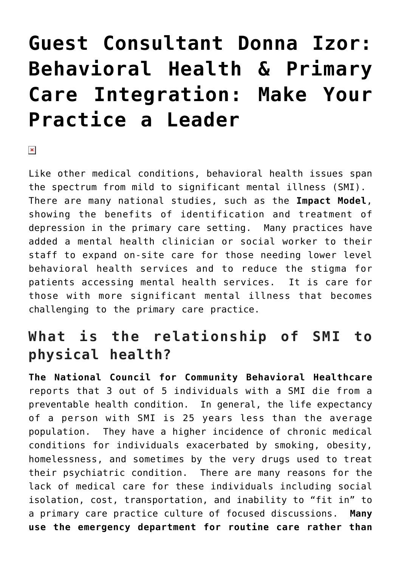# **[Guest Consultant Donna Izor:](https://managemypractice.com/guest-consultant-donna-izor-behavioral-health-primary-care-integration-make-your-practice-a-leader/) [Behavioral Health & Primary](https://managemypractice.com/guest-consultant-donna-izor-behavioral-health-primary-care-integration-make-your-practice-a-leader/) [Care Integration: Make Your](https://managemypractice.com/guest-consultant-donna-izor-behavioral-health-primary-care-integration-make-your-practice-a-leader/) [Practice a Leader](https://managemypractice.com/guest-consultant-donna-izor-behavioral-health-primary-care-integration-make-your-practice-a-leader/)**

 $\pmb{\times}$ 

Like other medical conditions, behavioral health issues span the spectrum from mild to significant mental illness (SMI). There are many national studies, such as the **[Impact Model](http://impact-uw.org/)**, showing the benefits of identification and treatment of depression in the primary care setting. Many practices have added a mental health clinician or social worker to their staff to expand on-site care for those needing lower level behavioral health services and to reduce the stigma for patients accessing mental health services. It is care for those with more significant mental illness that becomes challenging to the primary care practice.

#### **What is the relationship of SMI to physical health?**

**[The National Council for Community Behavioral Healthcare](http://www.thenationalcouncil.org/)** reports that 3 out of 5 individuals with a SMI die from a preventable health condition. In general, the life expectancy of a person with SMI is 25 years less than the average population. They have a higher incidence of chronic medical conditions for individuals exacerbated by smoking, obesity, homelessness, and sometimes by the very drugs used to treat their psychiatric condition. There are many reasons for the lack of medical care for these individuals including social isolation, cost, transportation, and inability to "fit in" to a primary care practice culture of focused discussions. **Many use the emergency department for routine care rather than**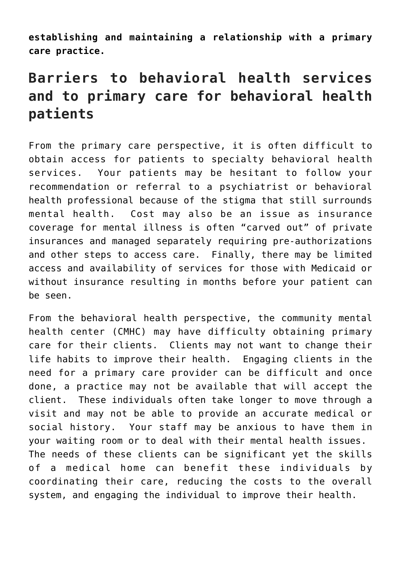**establishing and maintaining a relationship with a primary care practice.**

## **Barriers to behavioral health services and to primary care for behavioral health patients**

From the primary care perspective, it is often difficult to obtain access for patients to specialty behavioral health services. Your patients may be hesitant to follow your recommendation or referral to a psychiatrist or behavioral health professional because of the stigma that still surrounds mental health. Cost may also be an issue as insurance coverage for mental illness is often "carved out" of private insurances and managed separately requiring pre-authorizations and other steps to access care. Finally, there may be limited access and availability of services for those with Medicaid or without insurance resulting in months before your patient can be seen.

From the behavioral health perspective, the community mental health center (CMHC) may have difficulty obtaining primary care for their clients. Clients may not want to change their life habits to improve their health. Engaging clients in the need for a primary care provider can be difficult and once done, a practice may not be available that will accept the client. These individuals often take longer to move through a visit and may not be able to provide an accurate medical or social history. Your staff may be anxious to have them in your waiting room or to deal with their mental health issues. The needs of these clients can be significant yet the skills of a medical home can benefit these individuals by coordinating their care, reducing the costs to the overall system, and engaging the individual to improve their health.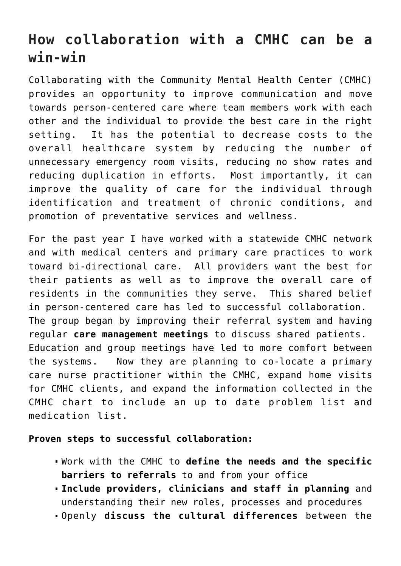## **How collaboration with a CMHC can be a win-win**

Collaborating with the Community Mental Health Center (CMHC) provides an opportunity to improve communication and move towards person-centered care where team members work with each other and the individual to provide the best care in the right setting. It has the potential to decrease costs to the overall healthcare system by reducing the number of unnecessary emergency room visits, reducing no show rates and reducing duplication in efforts. Most importantly, it can improve the quality of care for the individual through identification and treatment of chronic conditions, and promotion of preventative services and wellness.

For the past year I have worked with a statewide CMHC network and with medical centers and primary care practices to work toward bi-directional care. All providers want the best for their patients as well as to improve the overall care of residents in the communities they serve. This shared belief in person-centered care has led to successful collaboration. The group began by improving their referral system and having regular **care management meetings** to discuss shared patients. Education and group meetings have led to more comfort between the systems. Now they are planning to co-locate a primary care nurse practitioner within the CMHC, expand home visits for CMHC clients, and expand the information collected in the CMHC chart to include an up to date problem list and medication list.

#### **Proven steps to successful collaboration:**

- Work with the CMHC to **define the needs and the specific barriers to referrals** to and from your office
- **Include providers, clinicians and staff in planning** and understanding their new roles, processes and procedures
- Openly **discuss the cultural differences** between the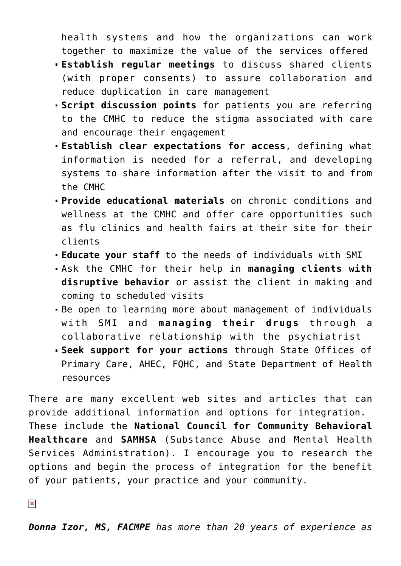health systems and how the organizations can work together to maximize the value of the services offered

- **Establish regular meetings** to discuss shared clients (with proper consents) to assure collaboration and reduce duplication in care management
- **Script discussion points** for patients you are referring to the CMHC to reduce the stigma associated with care and encourage their engagement
- **Establish clear expectations for access**, defining what information is needed for a referral, and developing systems to share information after the visit to and from the CMHC
- **Provide educational materials** on chronic conditions and wellness at the CMHC and offer care opportunities such as flu clinics and health fairs at their site for their clients
- **Educate your staff** to the needs of individuals with SMI
- Ask the CMHC for their help in **managing clients with disruptive behavior** or assist the client in making and coming to scheduled visits
- Be open to learning more about management of individuals with SMI and **managing their drugs** through a collaborative relationship with the psychiatrist
- **Seek support for your actions** through State Offices of Primary Care, AHEC, FQHC, and State Department of Health resources

There are many excellent web sites and articles that can provide additional information and options for integration. These include the **[National Council for Community Behavioral](http://www.thenationalcouncil.org/) [Healthcare](http://www.thenationalcouncil.org/)** and **[SAMHSA](http://www.integration.samhsa.gov/)** (Substance Abuse and Mental Health Services Administration). I encourage you to research the options and begin the process of integration for the benefit of your patients, your practice and your community.

 $\pmb{\times}$ 

*Donna Izor, MS, FACMPE has more than 20 years of experience as*